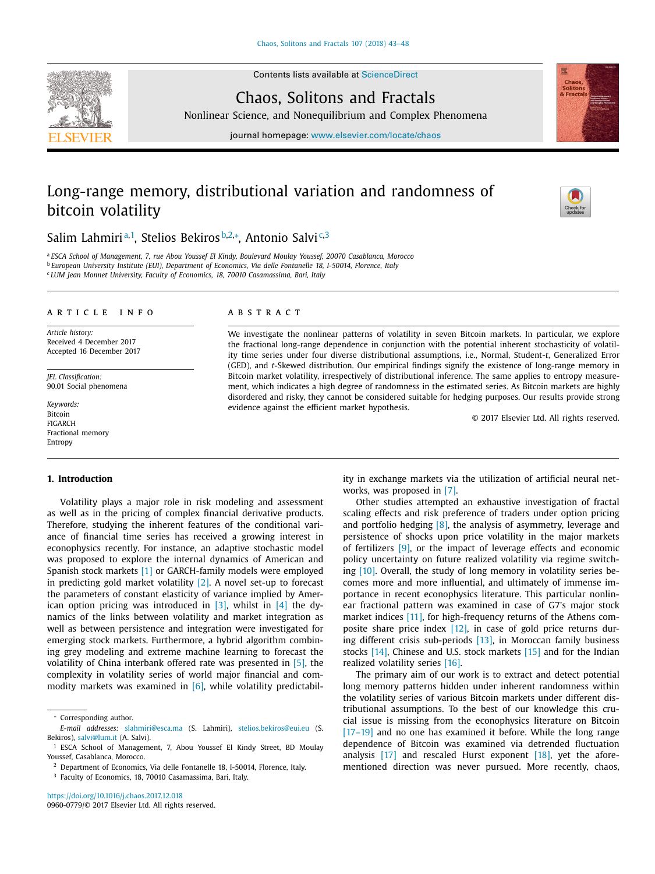Contents lists available at [ScienceDirect](http://www.ScienceDirect.com)





Nonlinear Science, and Nonequilibrium and Complex Phenomena

journal homepage: [www.elsevier.com/locate/chaos](http://www.elsevier.com/locate/chaos)

## Long-range memory, distributional variation and randomness of bitcoin volatility



### Salim Lahmiriª<sup>,1</sup>, Stelios Bekiros<sup>b,2,</sup>\*, Antonio Salvi<sup>c,3</sup>

<sup>a</sup> *ESCA School of Management, 7, rue Abou Youssef El Kindy, Boulevard Moulay Youssef, 20070 Casablanca, Morocco* <sup>b</sup> *European University Institute (EUI), Department of Economics, Via delle Fontanelle 18, I-50014, Florence, Italy* <sup>c</sup> *LUM Jean Monnet University, Faculty of Economics, 18, 70010 Casamassima, Bari, Italy*

#### a r t i c l e i n f o

*Article history:* Received 4 December 2017 Accepted 16 December 2017

*JEL Classification:* 90.01 Social phenomena

*Keywords:* Bitcoin FIGARCH Fractional memory Entropy

#### **1. Introduction**

Volatility plays a major role in risk modeling and assessment as well as in the pricing of complex financial derivative products. Therefore, studying the inherent features of the conditional variance of financial time series has received a growing interest in econophysics recently. For instance, an adaptive stochastic model was proposed to explore the internal dynamics of American and Spanish stock markets [\[1\]](#page--1-0) or GARCH-family models were employed in predicting gold market volatility  $[2]$ . A novel set-up to forecast the parameters of constant elasticity of variance implied by American option pricing was introduced in [\[3\],](#page--1-0) whilst in [\[4\]](#page--1-0) the dynamics of the links between volatility and market integration as well as between persistence and integration were investigated for emerging stock markets. Furthermore, a hybrid algorithm combining grey modeling and extreme machine learning to forecast the volatility of China interbank offered rate was presented in [\[5\],](#page--1-0) the complexity in volatility series of world major financial and commodity markets was examined in  $[6]$ , while volatility predictabil-

<https://doi.org/10.1016/j.chaos.2017.12.018> 0960-0779/© 2017 Elsevier Ltd. All rights reserved.

#### A B S T R A C T

We investigate the nonlinear patterns of volatility in seven Bitcoin markets. In particular, we explore the fractional long-range dependence in conjunction with the potential inherent stochasticity of volatility time series under four diverse distributional assumptions, i.e., Normal, Student-*t*, Generalized Error (GED), and *t*-Skewed distribution. Our empirical findings signify the existence of long-range memory in Bitcoin market volatility, irrespectively of distributional inference. The same applies to entropy measurement, which indicates a high degree of randomness in the estimated series. As Bitcoin markets are highly disordered and risky, they cannot be considered suitable for hedging purposes. Our results provide strong evidence against the efficient market hypothesis.

© 2017 Elsevier Ltd. All rights reserved.

ity in exchange markets via the utilization of artificial neural networks, was proposed in [\[7\].](#page--1-0)

Other studies attempted an exhaustive investigation of fractal scaling effects and risk preference of traders under option pricing and portfolio hedging [\[8\],](#page--1-0) the analysis of asymmetry, leverage and persistence of shocks upon price volatility in the major markets of fertilizers [\[9\],](#page--1-0) or the impact of leverage effects and economic policy uncertainty on future realized volatility via regime switching [\[10\].](#page--1-0) Overall, the study of long memory in volatility series becomes more and more influential, and ultimately of immense importance in recent econophysics literature. This particular nonlinear fractional pattern was examined in case of G7's major stock market indices [\[11\],](#page--1-0) for high-frequency returns of the Athens composite share price index [\[12\],](#page--1-0) in case of gold price returns during different crisis sub-periods [\[13\],](#page--1-0) in Moroccan family business stocks [\[14\],](#page--1-0) Chinese and U.S. stock markets [\[15\]](#page--1-0) and for the Indian realized volatility series [\[16\].](#page--1-0)

The primary aim of our work is to extract and detect potential long memory patterns hidden under inherent randomness within the volatility series of various Bitcoin markets under different distributional assumptions. To the best of our knowledge this crucial issue is missing from the econophysics literature on Bitcoin [17-19] and no one has examined it before. While the long range dependence of Bitcoin was examined via detrended fluctuation analysis [\[17\]](#page--1-0) and rescaled Hurst exponent [\[18\],](#page--1-0) yet the aforementioned direction was never pursued. More recently, chaos,

<sup>∗</sup> Corresponding author.

*E-mail addresses:* [slahmiri@esca.ma](mailto:slahmiri@esca.ma) (S. Lahmiri), [stelios.bekiros@eui.eu](mailto:stelios.bekiros@eui.eu) (S. Bekiros), [salvi@lum.it](mailto:salvi@lum.it) (A. Salvi).

<sup>&</sup>lt;sup>1</sup> ESCA School of Management, 7, Abou Youssef El Kindy Street, BD Moulay Youssef, Casablanca, Morocco.

<sup>2</sup> Department of Economics, Via delle Fontanelle 18, I-50014, Florence, Italy.

<sup>3</sup> Faculty of Economics, 18, 70010 Casamassima, Bari, Italy.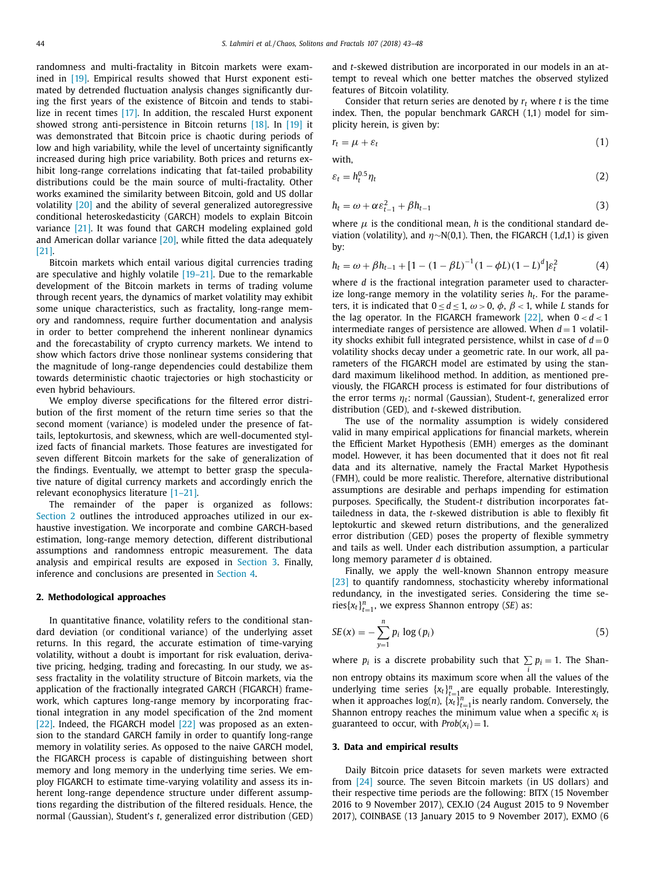with,

randomness and multi-fractality in Bitcoin markets were exam-ined in [\[19\].](#page--1-0) Empirical results showed that Hurst exponent estimated by detrended fluctuation analysis changes significantly during the first years of the existence of Bitcoin and tends to stabi-lize in recent times [\[17\].](#page--1-0) In addition, the rescaled Hurst exponent showed strong anti-persistence in Bitcoin returns [\[18\].](#page--1-0) In [\[19\]](#page--1-0) it was demonstrated that Bitcoin price is chaotic during periods of low and high variability, while the level of uncertainty significantly increased during high price variability. Both prices and returns exhibit long-range correlations indicating that fat-tailed probability distributions could be the main source of multi-fractality. Other works examined the similarity between Bitcoin, gold and US dollar volatility [\[20\]](#page--1-0) and the ability of several generalized autoregressive conditional heteroskedasticity (GARCH) models to explain Bitcoin variance [\[21\].](#page--1-0) It was found that GARCH modeling explained gold and American dollar variance  $[20]$ , while fitted the data adequately [\[21\].](#page--1-0)

Bitcoin markets which entail various digital currencies trading are speculative and highly volatile [\[19–21\].](#page--1-0) Due to the remarkable development of the Bitcoin markets in terms of trading volume through recent years, the dynamics of market volatility may exhibit some unique characteristics, such as fractality, long-range memory and randomness, require further documentation and analysis in order to better comprehend the inherent nonlinear dynamics and the forecastability of crypto currency markets. We intend to show which factors drive those nonlinear systems considering that the magnitude of long-range dependencies could destabilize them towards deterministic chaotic trajectories or high stochasticity or even hybrid behaviours.

We employ diverse specifications for the filtered error distribution of the first moment of the return time series so that the second moment (variance) is modeled under the presence of fattails, leptokurtosis, and skewness, which are well-documented stylized facts of financial markets. Those features are investigated for seven different Bitcoin markets for the sake of generalization of the findings. Eventually, we attempt to better grasp the speculative nature of digital currency markets and accordingly enrich the relevant econophysics literature [\[1–21\].](#page--1-0)

The remainder of the paper is organized as follows: Section 2 outlines the introduced approaches utilized in our exhaustive investigation. We incorporate and combine GARCH-based estimation, long-range memory detection, different distributional assumptions and randomness entropic measurement. The data analysis and empirical results are exposed in Section 3. Finally, inference and conclusions are presented in [Section](#page--1-0) 4.

#### **2. Methodological approaches**

In quantitative finance, volatility refers to the conditional standard deviation (or conditional variance) of the underlying asset returns. In this regard, the accurate estimation of time-varying volatility, without a doubt is important for risk evaluation, derivative pricing, hedging, trading and forecasting. In our study, we assess fractality in the volatility structure of Bitcoin markets, via the application of the fractionally integrated GARCH (FIGARCH) framework, which captures long-range memory by incorporating fractional integration in any model specification of the 2nd moment [\[22\].](#page--1-0) Indeed, the FIGARCH model [\[22\]](#page--1-0) was proposed as an extension to the standard GARCH family in order to quantify long-range memory in volatility series. As opposed to the naive GARCH model, the FIGARCH process is capable of distinguishing between short memory and long memory in the underlying time series. We employ FIGARCH to estimate time-varying volatility and assess its inherent long-range dependence structure under different assumptions regarding the distribution of the filtered residuals. Hence, the normal (Gaussian), Student's *t*, generalized error distribution (GED) and *t*-skewed distribution are incorporated in our models in an attempt to reveal which one better matches the observed stylized features of Bitcoin volatility.

Consider that return series are denoted by *rt* where *t* is the time index. Then, the popular benchmark GARCH (1,1) model for simplicity herein, is given by:

$$
r_t = \mu + \varepsilon_t \tag{1}
$$

$$
\varepsilon_t = h_t^{0.5} \eta_t \tag{2}
$$

$$
h_t = \omega + \alpha \varepsilon_{t-1}^2 + \beta h_{t-1} \tag{3}
$$

where  $\mu$  is the conditional mean, *h* is the conditional standard deviation (volatility), and η∼N(0,1). Then, the FIGARCH (1,*d*,1) is given by:

$$
h_t = \omega + \beta h_{t-1} + [1 - (1 - \beta L)^{-1} (1 - \phi L)(1 - L)^d] \varepsilon_t^2 \tag{4}
$$

where *d* is the fractional integration parameter used to characterize long-range memory in the volatility series *ht*. For the parameters, it is indicated that  $0 \le d \le 1$ ,  $\omega > 0$ ,  $\phi$ ,  $\beta < 1$ , while *L* stands for the lag operator. In the FIGARCH framework  $[22]$ , when  $0 < d < 1$ intermediate ranges of persistence are allowed. When  $d = 1$  volatility shocks exhibit full integrated persistence, whilst in case of  $d = 0$ volatility shocks decay under a geometric rate. In our work, all parameters of the FIGARCH model are estimated by using the standard maximum likelihood method. In addition, as mentioned previously, the FIGARCH process is estimated for four distributions of the error terms η*t*: normal (Gaussian), Student-*t*, generalized error distribution (GED), and *t*-skewed distribution.

The use of the normality assumption is widely considered valid in many empirical applications for financial markets, wherein the Efficient Market Hypothesis (EMH) emerges as the dominant model. However, it has been documented that it does not fit real data and its alternative, namely the Fractal Market Hypothesis (FMH), could be more realistic. Therefore, alternative distributional assumptions are desirable and perhaps impending for estimation purposes. Specifically, the Student-*t* distribution incorporates fattailedness in data, the *t*-skewed distribution is able to flexibly fit leptokurtic and skewed return distributions, and the generalized error distribution (GED) poses the property of flexible symmetry and tails as well. Under each distribution assumption, a particular long memory parameter *d* is obtained.

Finally, we apply the well-known Shannon entropy measure [\[23\]](#page--1-0) to quantify randomness, stochasticity whereby informational redundancy, in the investigated series. Considering the time series $\{x_t\}_{t=1}^n$ , we express Shannon entropy (*SE*) as:

$$
SE(x) = -\sum_{y=1}^{n} p_i \log (p_i)
$$
\n(5)

where  $p_i$  is a discrete probability such that  $\sum p_i = 1$ . The Shan*i* non entropy obtains its maximum score when all the values of the underlying time series  $\{x_t\}_{t=1}^n$  are equally probable. Interestingly, when it approaches  $log(n)$ ,  $\{x_t\}_{t=1}^n$  is nearly random. Conversely, the Shannon entropy reaches the minimum value when a specific  $x_i$  is guaranteed to occur, with  $Prob(x_i) = 1$ .

#### **3. Data and empirical results**

Daily Bitcoin price datasets for seven markets were extracted from [\[24\]](#page--1-0) source. The seven Bitcoin markets (in US dollars) and their respective time periods are the following: BITX (15 November 2016 to 9 November 2017), CEX.IO (24 August 2015 to 9 November 2017), COINBASE (13 January 2015 to 9 November 2017), EXMO (6